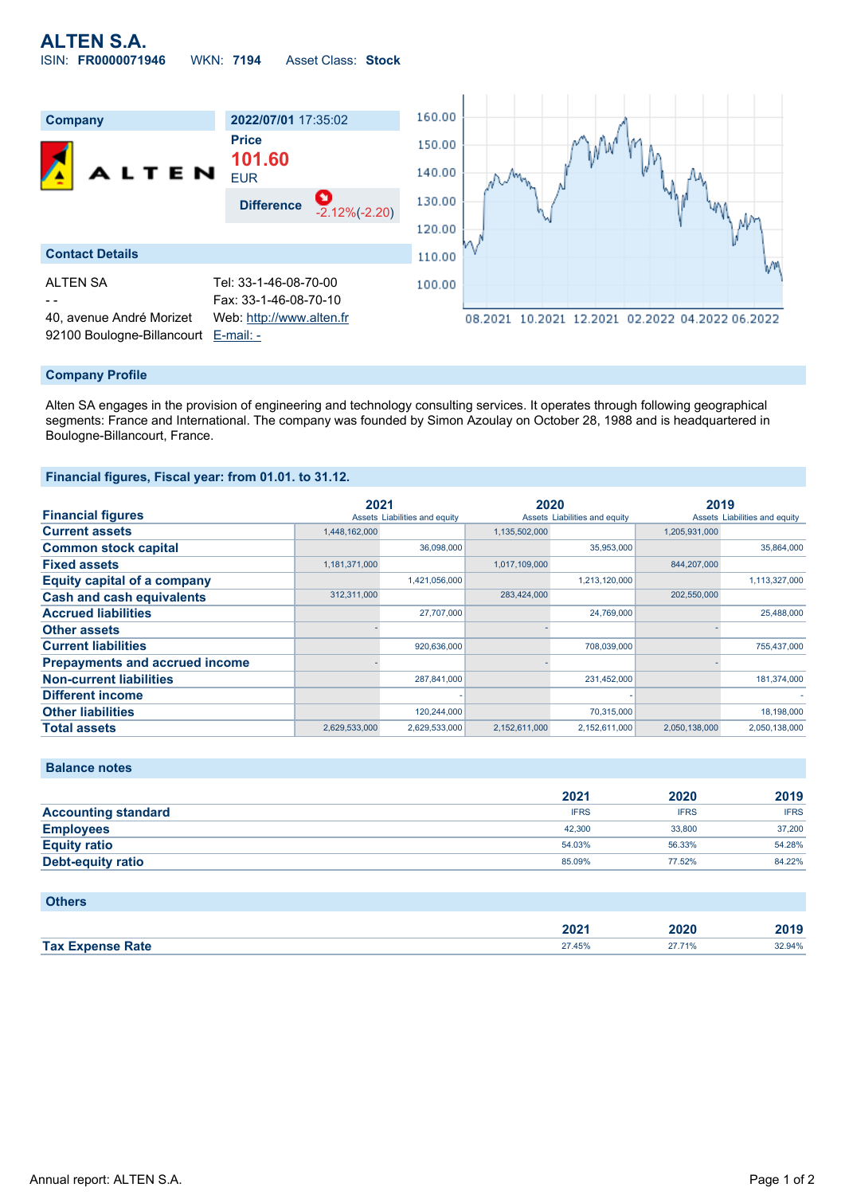

### **Company Profile**

Alten SA engages in the provision of engineering and technology consulting services. It operates through following geographical segments: France and International. The company was founded by Simon Azoulay on October 28, 1988 and is headquartered in Boulogne-Billancourt, France.

#### **Financial figures, Fiscal year: from 01.01. to 31.12.**

|                                       | 2021          |                               | 2020          |                               | 2019          |                               |
|---------------------------------------|---------------|-------------------------------|---------------|-------------------------------|---------------|-------------------------------|
| <b>Financial figures</b>              |               | Assets Liabilities and equity |               | Assets Liabilities and equity |               | Assets Liabilities and equity |
| <b>Current assets</b>                 | 1,448,162,000 |                               | 1,135,502,000 |                               | 1,205,931,000 |                               |
| <b>Common stock capital</b>           |               | 36.098.000                    |               | 35,953,000                    |               | 35,864,000                    |
| <b>Fixed assets</b>                   | 1,181,371,000 |                               | 1,017,109,000 |                               | 844,207,000   |                               |
| <b>Equity capital of a company</b>    |               | 1,421,056,000                 |               | 1,213,120,000                 |               | 1,113,327,000                 |
| <b>Cash and cash equivalents</b>      | 312,311,000   |                               | 283,424,000   |                               | 202,550,000   |                               |
| <b>Accrued liabilities</b>            |               | 27,707,000                    |               | 24,769,000                    |               | 25,488,000                    |
| <b>Other assets</b>                   |               |                               |               |                               |               |                               |
| <b>Current liabilities</b>            |               | 920.636.000                   |               | 708.039.000                   |               | 755.437.000                   |
| <b>Prepayments and accrued income</b> |               |                               |               |                               |               |                               |
| <b>Non-current liabilities</b>        |               | 287.841.000                   |               | 231,452,000                   |               | 181.374.000                   |
| <b>Different income</b>               |               |                               |               |                               |               |                               |
| <b>Other liabilities</b>              |               | 120.244.000                   |               | 70,315,000                    |               | 18,198,000                    |
| <b>Total assets</b>                   | 2,629,533,000 | 2,629,533,000                 | 2,152,611,000 | 2.152.611.000                 | 2.050.138.000 | 2,050,138,000                 |

| <b>Balance notes</b> |  |
|----------------------|--|
|                      |  |

|                            | 2021        | 2020        | 2019        |
|----------------------------|-------------|-------------|-------------|
| <b>Accounting standard</b> | <b>IFRS</b> | <b>IFRS</b> | <b>IFRS</b> |
| <b>Employees</b>           | 42,300      | 33,800      | 37,200      |
| <b>Equity ratio</b>        | 54.03%      | 56.33%      | 54.28%      |
| Debt-equity ratio          | 85.09%      | 77.52%      | 84.22%      |

### **Others**

|                                   | 202<br>ZUZ. | 2020 | <b>1040</b> |
|-----------------------------------|-------------|------|-------------|
| <b>Tax Expense</b><br>angele Rate | 27 45%      |      | 294%        |